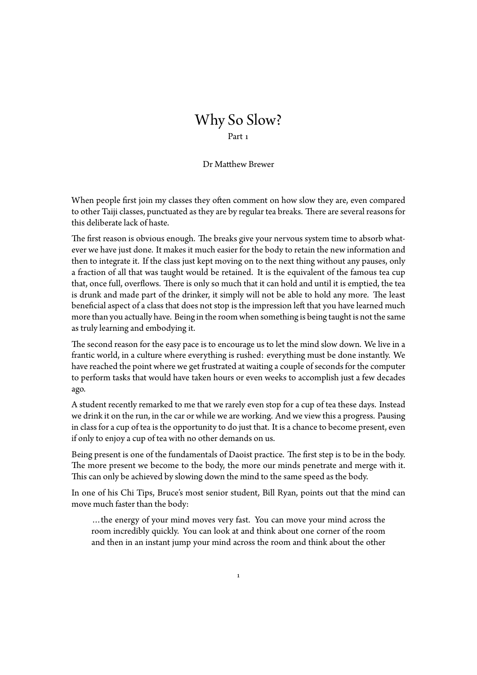## Why So Slow? Part 1

## Dr Matthew Brewer

When people first join my classes they often comment on how slow they are, even compared to other Taiji classes, punctuated as they are by regular tea breaks. There are several reasons for this deliberate lack of haste.

The first reason is obvious enough. The breaks give your nervous system time to absorb whatever we have just done. It makes it much easier for the body to retain the new information and then to integrate it. If the class just kept moving on to the next thing without any pauses, only a fraction of all that was taught would be retained. It is the equivalent of the famous tea cup that, once full, overflows. There is only so much that it can hold and until it is emptied, the tea is drunk and made part of the drinker, it simply will not be able to hold any more. The least beneficial aspect of a class that does not stop is the impression left that you have learned much more than you actually have. Being in the room when something is being taught is not the same as truly learning and embodying it.

The second reason for the easy pace is to encourage us to let the mind slow down. We live in a frantic world, in a culture where everything is rushed: everything must be done instantly. We have reached the point where we get frustrated at waiting a couple of seconds for the computer to perform tasks that would have taken hours or even weeks to accomplish just a few decades ago.

A student recently remarked to me that we rarely even stop for a cup of tea these days. Instead we drink it on the run, in the car or while we are working. And we view this a progress. Pausing in class for a cup of tea is the opportunity to do just that. It is a chance to become present, even if only to enjoy a cup of tea with no other demands on us.

Being present is one of the fundamentals of Daoist practice. The first step is to be in the body. The more present we become to the body, the more our minds penetrate and merge with it. This can only be achieved by slowing down the mind to the same speed as the body.

In one of his Chi Tips, Bruce's most senior student, Bill Ryan, points out that the mind can move much faster than the body:

…the energy of your mind moves very fast. You can move your mind across the room incredibly quickly. You can look at and think about one corner of the room and then in an instant jump your mind across the room and think about the other

1